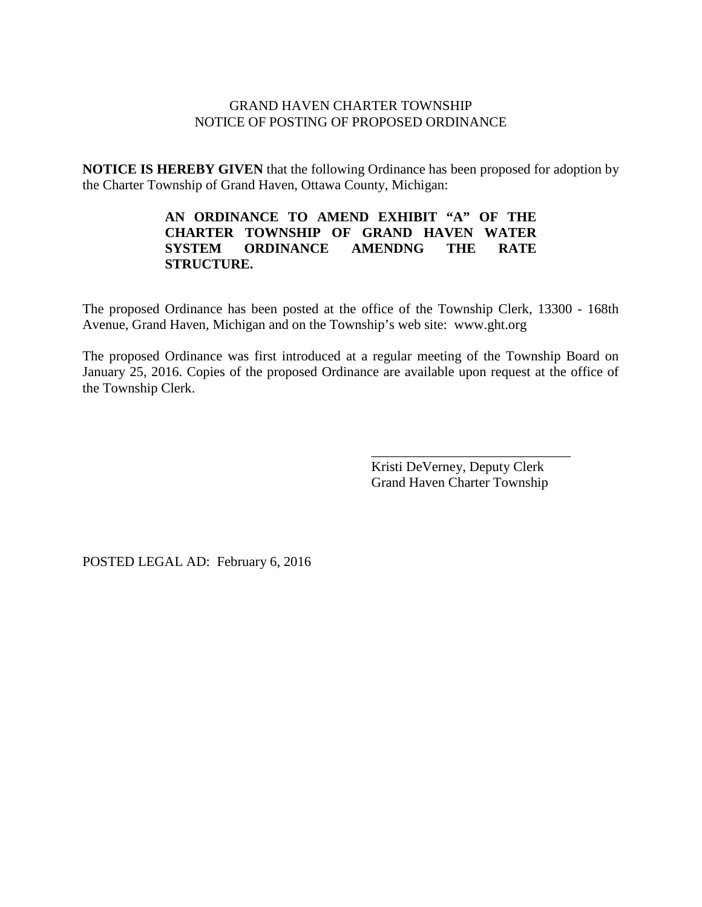### GRAND HAVEN CHARTER TOWNSHIP NOTICE OF POSTING OF PROPOSED ORDINANCE

**NOTICE IS HEREBY GIVEN** that the following Ordinance has been proposed for adoption by the Charter Township of Grand Haven, Ottawa County, Michigan:

### **AN ORDINANCE TO AMEND EXHIBIT "A" OF THE CHARTER TOWNSHIP OF GRAND HAVEN WATER SYSTEM ORDINANCE AMENDNG THE RATE STRUCTURE.**

The proposed Ordinance has been posted at the office of the Township Clerk, 13300 - 168th Avenue, Grand Haven, Michigan and on the Township's web site: www.ght.org

The proposed Ordinance was first introduced at a regular meeting of the Township Board on January 25, 2016. Copies of the proposed Ordinance are available upon request at the office of the Township Clerk.

> Kristi DeVerney, Deputy Clerk Grand Haven Charter Township

\_\_\_\_\_\_\_\_\_\_\_\_\_\_\_\_\_\_\_\_\_\_\_\_\_\_\_\_\_

POSTED LEGAL AD: February 6, 2016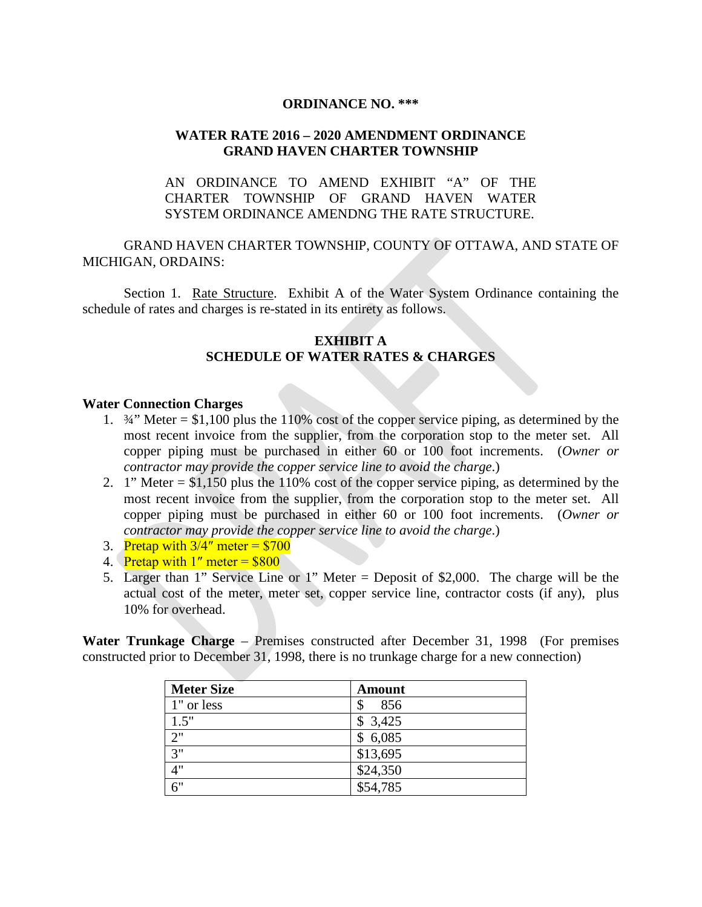#### **ORDINANCE NO. \*\*\***

## **WATER RATE 2016 – 2020 AMENDMENT ORDINANCE GRAND HAVEN CHARTER TOWNSHIP**

# AN ORDINANCE TO AMEND EXHIBIT "A" OF THE CHARTER TOWNSHIP OF GRAND HAVEN WATER SYSTEM ORDINANCE AMENDNG THE RATE STRUCTURE.

GRAND HAVEN CHARTER TOWNSHIP, COUNTY OF OTTAWA, AND STATE OF MICHIGAN, ORDAINS:

Section 1. Rate Structure. Exhibit A of the Water System Ordinance containing the schedule of rates and charges is re-stated in its entirety as follows.

### **EXHIBIT A SCHEDULE OF WATER RATES & CHARGES**

#### **Water Connection Charges**

- 1.  $\frac{3}{4}$  Meter = \$1,100 plus the 110% cost of the copper service piping, as determined by the most recent invoice from the supplier, from the corporation stop to the meter set. All copper piping must be purchased in either 60 or 100 foot increments. (*Owner or contractor may provide the copper service line to avoid the charge*.)
- 2. 1" Meter = \$1,150 plus the 110% cost of the copper service piping, as determined by the most recent invoice from the supplier, from the corporation stop to the meter set. All copper piping must be purchased in either 60 or 100 foot increments. (*Owner or contractor may provide the copper service line to avoid the charge*.)
- 3. Pretap with  $3/4$ " meter = \$700
- 4. Pretap with  $1''$  meter =  $$800$
- 5. Larger than 1" Service Line or 1" Meter = Deposit of \$2,000. The charge will be the actual cost of the meter, meter set, copper service line, contractor costs (if any), plus 10% for overhead.

**Water Trunkage Charge** – Premises constructed after December 31, 1998 (For premises constructed prior to December 31, 1998, there is no trunkage charge for a new connection)

| <b>Meter Size</b> | Amount    |
|-------------------|-----------|
| 1" or less        | 856<br>\$ |
| 1.5"              | \$3,425   |
| 2"                | \$6,085   |
| 3"                | \$13,695  |
| 4"                | \$24,350  |
| 6"                | \$54,785  |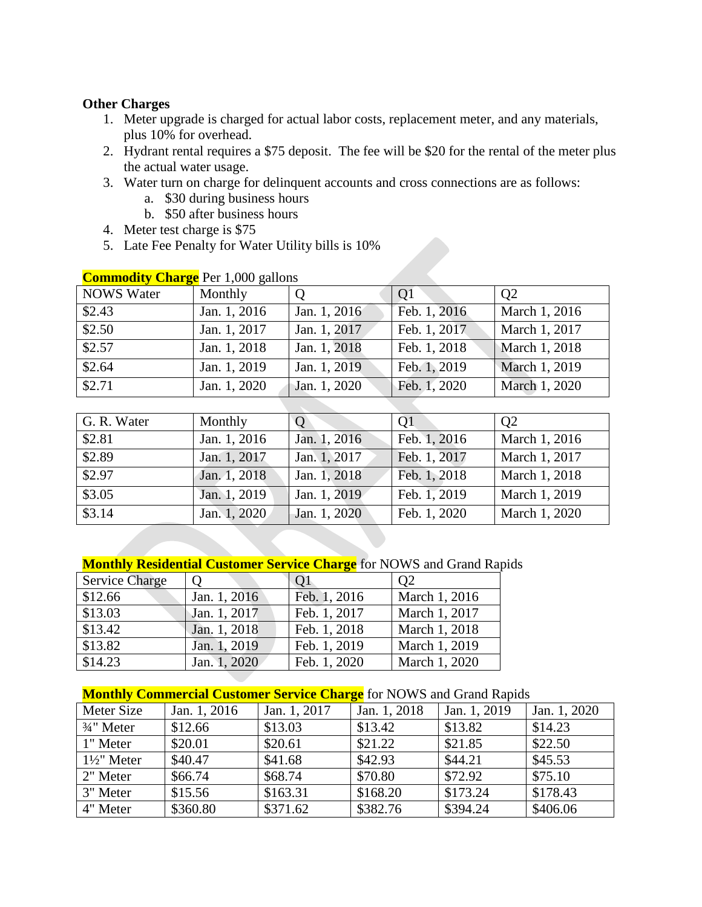### **Other Charges**

- 1. Meter upgrade is charged for actual labor costs, replacement meter, and any materials, plus 10% for overhead.
- 2. Hydrant rental requires a \$75 deposit. The fee will be \$20 for the rental of the meter plus the actual water usage.
- 3. Water turn on charge for delinquent accounts and cross connections are as follows:
	- a. \$30 during business hours
	- b. \$50 after business hours
- 4. Meter test charge is \$75
- 5. Late Fee Penalty for Water Utility bills is 10%

| $\frac{1}{2}$     |              |              |              |                |
|-------------------|--------------|--------------|--------------|----------------|
| <b>NOWS</b> Water | Monthly      | $\Omega$     | Q1           | Q <sub>2</sub> |
| \$2.43            | Jan. 1, 2016 | Jan. 1, 2016 | Feb. 1, 2016 | March 1, 2016  |
| \$2.50            | Jan. 1, 2017 | Jan. 1, 2017 | Feb. 1, 2017 | March 1, 2017  |
| \$2.57            | Jan. 1, 2018 | Jan. 1, 2018 | Feb. 1, 2018 | March 1, 2018  |
| \$2.64            | Jan. 1, 2019 | Jan. 1, 2019 | Feb. 1, 2019 | March 1, 2019  |
| $\sqrt{$2.71}$    | Jan. 1, 2020 | Jan. 1, 2020 | Feb. 1, 2020 | March 1, 2020  |

## **Commodity Charge** Per 1,000 gallons

| G. R. Water | Monthly      | $\mathsf{O}$ | Q1           | Q <sub>2</sub> |
|-------------|--------------|--------------|--------------|----------------|
| \$2.81      | Jan. 1, 2016 | Jan. 1, 2016 | Feb. 1, 2016 | March 1, 2016  |
| \$2.89      | Jan. 1, 2017 | Jan. 1, 2017 | Feb. 1, 2017 | March 1, 2017  |
| \$2.97      | Jan. 1, 2018 | Jan. 1, 2018 | Feb. 1, 2018 | March 1, 2018  |
| \$3.05      | Jan. 1, 2019 | Jan. 1, 2019 | Feb. 1, 2019 | March 1, 2019  |
| \$3.14      | Jan. 1, 2020 | Jan. 1, 2020 | Feb. 1, 2020 | March 1, 2020  |

# **Monthly Residential Customer Service Charge** for NOWS and Grand Rapids

| <b>Service Charge</b> | $\Omega$     | Q <sub>1</sub> | O <sub>2</sub> |
|-----------------------|--------------|----------------|----------------|
| \$12.66               | Jan. 1, 2016 | Feb. 1, 2016   | March 1, 2016  |
| \$13.03               | Jan. 1, 2017 | Feb. 1, 2017   | March 1, 2017  |
| \$13.42               | Jan. 1, 2018 | Feb. 1, 2018   | March 1, 2018  |
| \$13.82               | Jan. 1, 2019 | Feb. 1, 2019   | March 1, 2019  |
| \$14.23               | Jan. 1, 2020 | Feb. 1, 2020   | March 1, 2020  |

# **Monthly Commercial Customer Service Charge** for NOWS and Grand Rapids

| Meter Size             | Jan. 1, 2016 | Jan. 1, 2017 | Jan. 1, 2018 | Jan. 1, 2019 | Jan. 1, 2020 |
|------------------------|--------------|--------------|--------------|--------------|--------------|
| $3/4$ " Meter          | \$12.66      | \$13.03      | \$13.42      | \$13.82      | \$14.23      |
| 1" Meter               | \$20.01      | \$20.61      | \$21.22      | \$21.85      | \$22.50      |
| $1\frac{1}{2}$ " Meter | \$40.47      | \$41.68      | \$42.93      | \$44.21      | \$45.53      |
| 2" Meter               | \$66.74      | \$68.74      | \$70.80      | \$72.92      | \$75.10      |
| 3" Meter               | \$15.56      | \$163.31     | \$168.20     | \$173.24     | \$178.43     |
| 4" Meter               | \$360.80     | \$371.62     | \$382.76     | \$394.24     | \$406.06     |